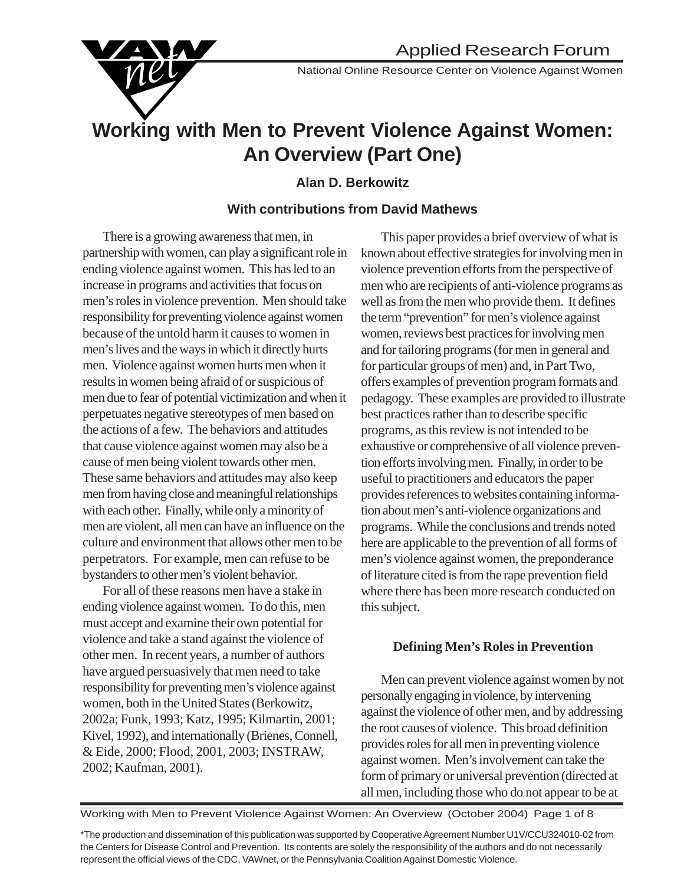

National Online Resource Center on Violence Against Women

# **Working with Men to Prevent Violence Against Women: An Overview (Part One)**

#### **Alan D. Berkowitz**

### **With contributions from David Mathews**

There is a growing awareness that men, in partnership with women, can play a significant role in ending violence against women. This has led to an increase in programs and activities that focus on men's roles in violence prevention. Men should take responsibility for preventing violence against women because of the untold harm it causes to women in men's lives and the ways in which it directly hurts men. Violence against women hurts men when it results in women being afraid of or suspicious of men due to fear of potential victimization and when it perpetuates negative stereotypes of men based on the actions of a few. The behaviors and attitudes that cause violence against women may also be a cause of men being violent towards other men. These same behaviors and attitudes may also keep men from having close and meaningful relationships with each other. Finally, while only a minority of men are violent, all men can have an influence on the culture and environment that allows other men to be perpetrators. For example, men can refuse to be bystanders to other men's violent behavior.

For all of these reasons men have a stake in ending violence against women. To do this, men must accept and examine their own potential for violence and take a stand against the violence of other men. In recent years, a number of authors have argued persuasively that men need to take responsibility for preventing men's violence against women, both in the United States (Berkowitz, 2002a; Funk, 1993; Katz, 1995; Kilmartin, 2001; Kivel, 1992), and internationally (Brienes, Connell, & Eide, 2000; Flood, 2001, 2003; INSTRAW, 2002; Kaufman, 2001).

This paper provides a brief overview of what is known about effective strategies for involving men in violence prevention efforts from the perspective of men who are recipients of anti-violence programs as well as from the men who provide them. It defines the term "prevention" for men's violence against women, reviews best practices for involving men and for tailoring programs (for men in general and for particular groups of men) and, in Part Two, offers examples of prevention program formats and pedagogy. These examples are provided to illustrate best practices rather than to describe specific programs, as this review is not intended to be exhaustive or comprehensive of all violence prevention efforts involving men. Finally, in order to be useful to practitioners and educators the paper provides references to websites containing information about men's anti-violence organizations and programs. While the conclusions and trends noted here are applicable to the prevention of all forms of men's violence against women, the preponderance of literature cited is from the rape prevention field where there has been more research conducted on this subject.

#### **Defining Men's Roles in Prevention**

Men can prevent violence against women by not personally engaging in violence, by intervening against the violence of other men, and by addressing the root causes of violence. This broad definition provides roles for all men in preventing violence against women. Men's involvement can take the form of primary or universal prevention (directed at all men, including those who do not appear to be at

Working with Men to Prevent Violence Against Women: An Overview (October 2004) Page 1 of 8

\*The production and dissemination of this publication was supported by Cooperative Agreement Number U1V/CCU324010-02 from the Centers for Disease Control and Prevention. Its contents are solely the responsibility of the authors and do not necessarily represent the official views of the CDC, VAWnet, or the Pennsylvania Coalition Against Domestic Violence.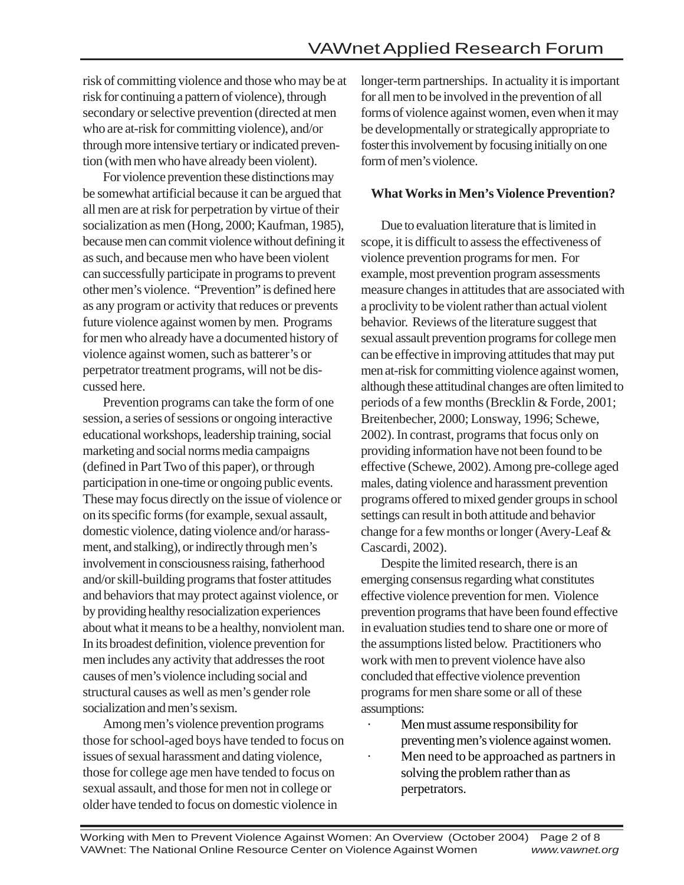risk of committing violence and those who may be at risk for continuing a pattern of violence), through secondary or selective prevention (directed at men who are at-risk for committing violence), and/or through more intensive tertiary or indicated prevention (with men who have already been violent).

For violence prevention these distinctions may be somewhat artificial because it can be argued that all men are at risk for perpetration by virtue of their socialization as men (Hong, 2000; Kaufman, 1985), because men can commit violence without defining it as such, and because men who have been violent can successfully participate in programs to prevent other men's violence. "Prevention" is defined here as any program or activity that reduces or prevents future violence against women by men. Programs for men who already have a documented history of violence against women, such as batterer's or perpetrator treatment programs, will not be discussed here.

Prevention programs can take the form of one session, a series of sessions or ongoing interactive educational workshops, leadership training, social marketing and social norms media campaigns (defined in Part Two of this paper), or through participation in one-time or ongoing public events. These may focus directly on the issue of violence or on its specific forms (for example, sexual assault, domestic violence, dating violence and/or harassment, and stalking), or indirectly through men's involvement in consciousness raising, fatherhood and/or skill-building programs that foster attitudes and behaviors that may protect against violence, or by providing healthy resocialization experiences about what it means to be a healthy, nonviolent man. In its broadest definition, violence prevention for men includes any activity that addresses the root causes of men's violence including social and structural causes as well as men's gender role socialization and men's sexism.

Among men's violence prevention programs those for school-aged boys have tended to focus on issues of sexual harassment and dating violence, those for college age men have tended to focus on sexual assault, and those for men not in college or older have tended to focus on domestic violence in

longer-term partnerships. In actuality it is important for all men to be involved in the prevention of all forms of violence against women, even when it may be developmentally or strategically appropriate to foster this involvement by focusing initially on one form of men's violence.

# **What Works in Men's Violence Prevention?**

Due to evaluation literature that is limited in scope, it is difficult to assess the effectiveness of violence prevention programs for men. For example, most prevention program assessments measure changes in attitudes that are associated with a proclivity to be violent rather than actual violent behavior. Reviews of the literature suggest that sexual assault prevention programs for college men can be effective in improving attitudes that may put men at-risk for committing violence against women, although these attitudinal changes are often limited to periods of a few months (Brecklin & Forde, 2001; Breitenbecher, 2000; Lonsway, 1996; Schewe, 2002). In contrast, programs that focus only on providing information have not been found to be effective (Schewe, 2002). Among pre-college aged males, dating violence and harassment prevention programs offered to mixed gender groups in school settings can result in both attitude and behavior change for a few months or longer (Avery-Leaf & Cascardi, 2002).

Despite the limited research, there is an emerging consensus regarding what constitutes effective violence prevention for men. Violence prevention programs that have been found effective in evaluation studies tend to share one or more of the assumptions listed below. Practitioners who work with men to prevent violence have also concluded that effective violence prevention programs for men share some or all of these assumptions:

Men must assume responsibility for preventing men's violence against women. Men need to be approached as partners in solving the problem rather than as perpetrators.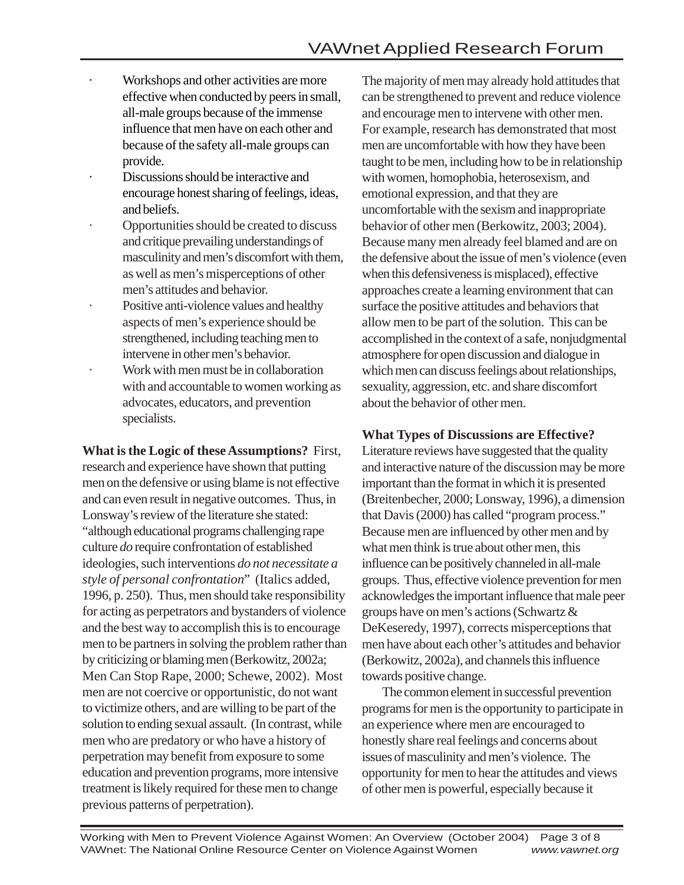- Workshops and other activities are more effective when conducted by peers in small, all-male groups because of the immense influence that men have on each other and because of the safety all-male groups can provide.
- Discussions should be interactive and encourage honest sharing of feelings, ideas, and beliefs.
- · Opportunities should be created to discuss and critique prevailing understandings of masculinity and men's discomfort with them, as well as men's misperceptions of other men's attitudes and behavior.
- Positive anti-violence values and healthy aspects of men's experience should be strengthened, including teaching men to intervene in other men's behavior.
- Work with men must be in collaboration with and accountable to women working as advocates, educators, and prevention specialists.

**What is the Logic of these Assumptions?** First, research and experience have shown that putting men on the defensive or using blame is not effective and can even result in negative outcomes. Thus, in Lonsway's review of the literature she stated: "although educational programs challenging rape culture *do* require confrontation of established ideologies, such interventions *do not necessitate a style of personal confrontation*" (Italics added, 1996, p. 250). Thus, men should take responsibility for acting as perpetrators and bystanders of violence and the best way to accomplish this is to encourage men to be partners in solving the problem rather than by criticizing or blaming men (Berkowitz, 2002a; Men Can Stop Rape, 2000; Schewe, 2002). Most men are not coercive or opportunistic, do not want to victimize others, and are willing to be part of the solution to ending sexual assault. (In contrast, while men who are predatory or who have a history of perpetration may benefit from exposure to some education and prevention programs, more intensive treatment is likely required for these men to change previous patterns of perpetration).

The majority of men may already hold attitudes that can be strengthened to prevent and reduce violence and encourage men to intervene with other men. For example, research has demonstrated that most men are uncomfortable with how they have been taught to be men, including how to be in relationship with women, homophobia, heterosexism, and emotional expression, and that they are uncomfortable with the sexism and inappropriate behavior of other men (Berkowitz, 2003; 2004). Because many men already feel blamed and are on the defensive about the issue of men's violence (even when this defensiveness is misplaced), effective approaches create a learning environment that can surface the positive attitudes and behaviors that allow men to be part of the solution. This can be accomplished in the context of a safe, nonjudgmental atmosphere for open discussion and dialogue in which men can discuss feelings about relationships, sexuality, aggression, etc. and share discomfort about the behavior of other men.

# **What Types of Discussions are Effective?**

Literature reviews have suggested that the quality and interactive nature of the discussion may be more important than the format in which it is presented (Breitenbecher, 2000; Lonsway, 1996), a dimension that Davis (2000) has called "program process." Because men are influenced by other men and by what men think is true about other men, this influence can be positively channeled in all-male groups. Thus, effective violence prevention for men acknowledges the important influence that male peer groups have on men's actions (Schwartz & DeKeseredy, 1997), corrects misperceptions that men have about each other's attitudes and behavior (Berkowitz, 2002a), and channels this influence towards positive change.

The common element in successful prevention programs for men is the opportunity to participate in an experience where men are encouraged to honestly share real feelings and concerns about issues of masculinity and men's violence. The opportunity for men to hear the attitudes and views of other men is powerful, especially because it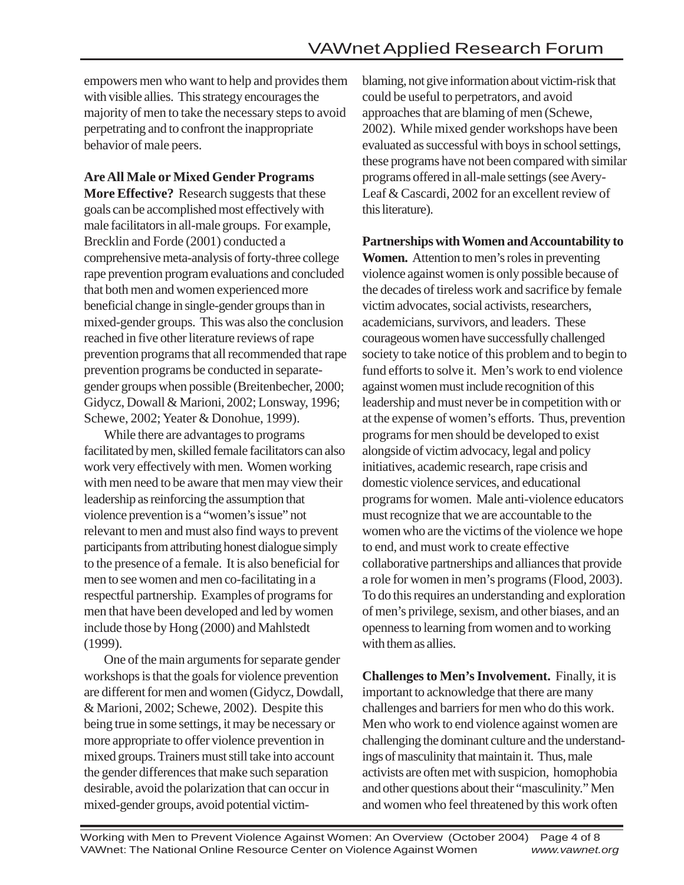empowers men who want to help and provides them with visible allies. This strategy encourages the majority of men to take the necessary steps to avoid perpetrating and to confront the inappropriate behavior of male peers.

**Are All Male or Mixed Gender Programs**

**More Effective?** Research suggests that these goals can be accomplished most effectively with male facilitators in all-male groups. For example, Brecklin and Forde (2001) conducted a comprehensive meta-analysis of forty-three college rape prevention program evaluations and concluded that both men and women experienced more beneficial change in single-gender groups than in mixed-gender groups. This was also the conclusion reached in five other literature reviews of rape prevention programs that all recommended that rape prevention programs be conducted in separategender groups when possible (Breitenbecher, 2000; Gidycz, Dowall & Marioni, 2002; Lonsway, 1996; Schewe, 2002; Yeater & Donohue, 1999).

While there are advantages to programs facilitated by men, skilled female facilitators can also work very effectively with men. Women working with men need to be aware that men may view their leadership as reinforcing the assumption that violence prevention is a "women's issue" not relevant to men and must also find ways to prevent participants from attributing honest dialogue simply to the presence of a female. It is also beneficial for men to see women and men co-facilitating in a respectful partnership. Examples of programs for men that have been developed and led by women include those by Hong (2000) and Mahlstedt (1999).

One of the main arguments for separate gender workshops is that the goals for violence prevention are different for men and women (Gidycz, Dowdall, & Marioni, 2002; Schewe, 2002). Despite this being true in some settings, it may be necessary or more appropriate to offer violence prevention in mixed groups. Trainers must still take into account the gender differences that make such separation desirable, avoid the polarization that can occur in mixed-gender groups, avoid potential victimblaming, not give information about victim-risk that could be useful to perpetrators, and avoid approaches that are blaming of men (Schewe, 2002). While mixed gender workshops have been evaluated as successful with boys in school settings, these programs have not been compared with similar programs offered in all-male settings (see Avery-Leaf & Cascardi, 2002 for an excellent review of this literature).

**Partnerships with Women and Accountability to**

**Women.** Attention to men's roles in preventing violence against women is only possible because of the decades of tireless work and sacrifice by female victim advocates, social activists, researchers, academicians, survivors, and leaders. These courageous women have successfully challenged society to take notice of this problem and to begin to fund efforts to solve it. Men's work to end violence against women must include recognition of this leadership and must never be in competition with or at the expense of women's efforts. Thus, prevention programs for men should be developed to exist alongside of victim advocacy, legal and policy initiatives, academic research, rape crisis and domestic violence services, and educational programs for women. Male anti-violence educators must recognize that we are accountable to the women who are the victims of the violence we hope to end, and must work to create effective collaborative partnerships and alliances that provide a role for women in men's programs (Flood, 2003). To do this requires an understanding and exploration of men's privilege, sexism, and other biases, and an openness to learning from women and to working with them as allies.

**Challenges to Men's Involvement.** Finally, it is important to acknowledge that there are many challenges and barriers for men who do this work. Men who work to end violence against women are challenging the dominant culture and the understandings of masculinity that maintain it. Thus, male activists are often met with suspicion, homophobia and other questions about their "masculinity." Men and women who feel threatened by this work often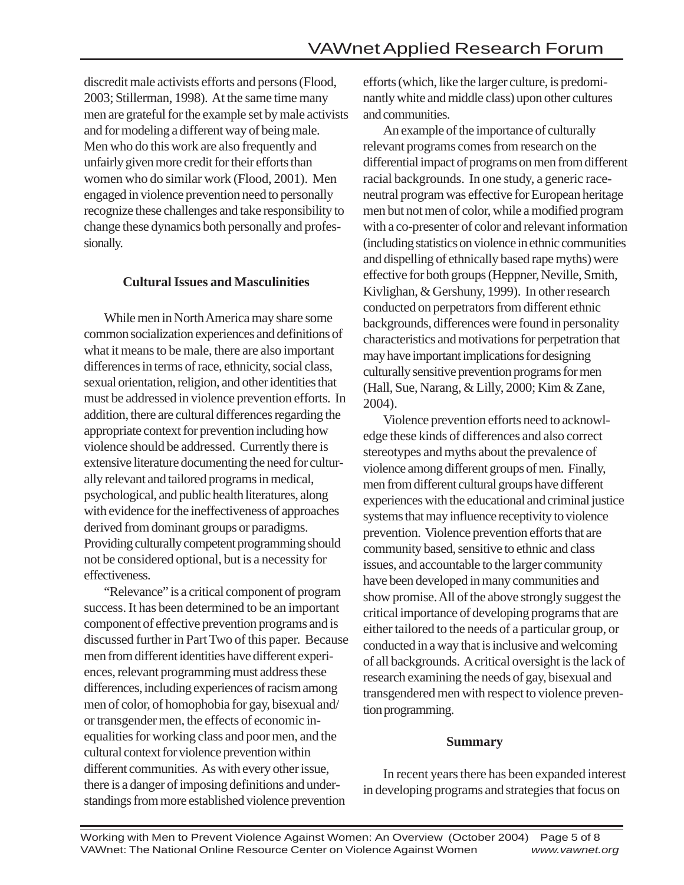discredit male activists efforts and persons (Flood, 2003; Stillerman, 1998). At the same time many men are grateful for the example set by male activists and for modeling a different way of being male. Men who do this work are also frequently and unfairly given more credit for their efforts than women who do similar work (Flood, 2001). Men engaged in violence prevention need to personally recognize these challenges and take responsibility to change these dynamics both personally and professionally.

# **Cultural Issues and Masculinities**

While men in North America may share some common socialization experiences and definitions of what it means to be male, there are also important differences in terms of race, ethnicity, social class, sexual orientation, religion, and other identities that must be addressed in violence prevention efforts. In addition, there are cultural differences regarding the appropriate context for prevention including how violence should be addressed. Currently there is extensive literature documenting the need for culturally relevant and tailored programs in medical, psychological, and public health literatures, along with evidence for the ineffectiveness of approaches derived from dominant groups or paradigms. Providing culturally competent programming should not be considered optional, but is a necessity for effectiveness.

"Relevance" is a critical component of program success. It has been determined to be an important component of effective prevention programs and is discussed further in Part Two of this paper. Because men from different identities have different experiences, relevant programming must address these differences, including experiences of racism among men of color, of homophobia for gay, bisexual and/ or transgender men, the effects of economic inequalities for working class and poor men, and the cultural context for violence prevention within different communities. As with every other issue, there is a danger of imposing definitions and understandings from more established violence prevention

efforts (which, like the larger culture, is predominantly white and middle class) upon other cultures and communities.

An example of the importance of culturally relevant programs comes from research on the differential impact of programs on men from different racial backgrounds. In one study, a generic raceneutral program was effective for European heritage men but not men of color, while a modified program with a co-presenter of color and relevant information (including statistics on violence in ethnic communities and dispelling of ethnically based rape myths) were effective for both groups (Heppner, Neville, Smith, Kivlighan, & Gershuny, 1999). In other research conducted on perpetrators from different ethnic backgrounds, differences were found in personality characteristics and motivations for perpetration that may have important implications for designing culturally sensitive prevention programs for men (Hall, Sue, Narang, & Lilly, 2000; Kim & Zane, 2004).

Violence prevention efforts need to acknowledge these kinds of differences and also correct stereotypes and myths about the prevalence of violence among different groups of men. Finally, men from different cultural groups have different experiences with the educational and criminal justice systems that may influence receptivity to violence prevention. Violence prevention efforts that are community based, sensitive to ethnic and class issues, and accountable to the larger community have been developed in many communities and show promise. All of the above strongly suggest the critical importance of developing programs that are either tailored to the needs of a particular group, or conducted in a way that is inclusive and welcoming of all backgrounds. A critical oversight is the lack of research examining the needs of gay, bisexual and transgendered men with respect to violence prevention programming.

# **Summary**

In recent years there has been expanded interest in developing programs and strategies that focus on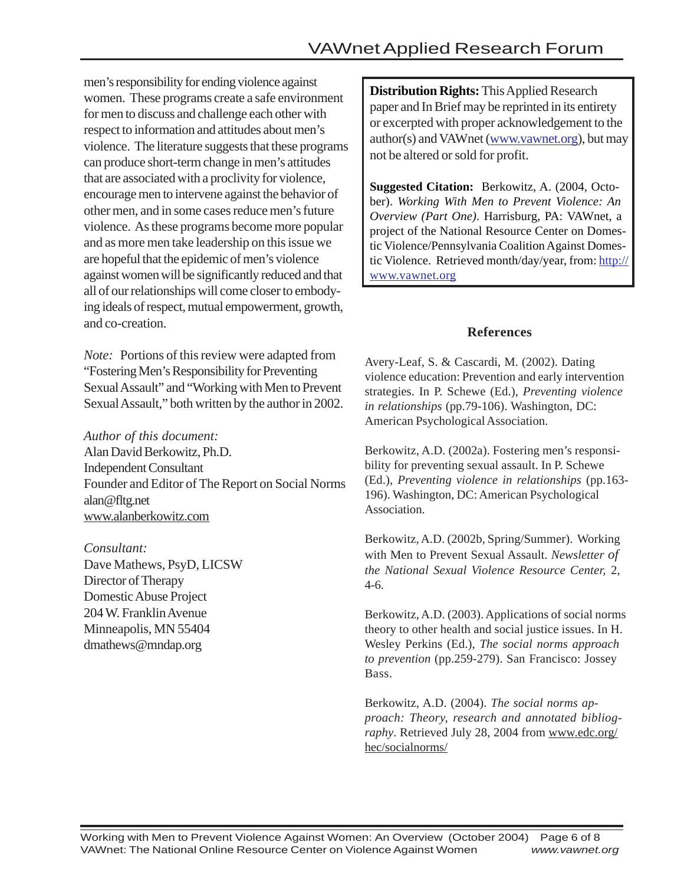men's responsibility for ending violence against women. These programs create a safe environment for men to discuss and challenge each other with respect to information and attitudes about men's violence. The literature suggests that these programs can produce short-term change in men's attitudes that are associated with a proclivity for violence, encourage men to intervene against the behavior of other men, and in some cases reduce men's future violence. As these programs become more popular and as more men take leadership on this issue we are hopeful that the epidemic of men's violence against women will be significantly reduced and that all of our relationships will come closer to embodying ideals of respect, mutual empowerment, growth, and co-creation.

*Note:* Portions of this review were adapted from "Fostering Men's Responsibility for Preventing Sexual Assault" and "Working with Men to Prevent Sexual Assault," both written by the author in 2002.

#### *Author of this document:*

Alan David Berkowitz, Ph.D. Independent Consultant Founder and Editor of The Report on Social Norms alan@fltg.net www.alanberkowitz.com

#### *Consultant:*

Dave Mathews, PsyD, LICSW Director of Therapy Domestic Abuse Project 204 W. Franklin Avenue Minneapolis, MN 55404 dmathews@mndap.org

**Distribution Rights:** This Applied Research paper and In Brief may be reprinted in its entirety or excerpted with proper acknowledgement to the author(s) and VAWnet (www.vawnet.org), but may not be altered or sold for profit.

**Suggested Citation:** Berkowitz, A. (2004, October). *Working With Men to Prevent Violence: An Overview (Part One)*. Harrisburg, PA: VAWnet, a project of the National Resource Center on Domestic Violence/Pennsylvania Coalition Against Domestic Violence. Retrieved month/day/year, from: http:// www.vawnet.org

## **References**

Avery-Leaf, S. & Cascardi, M. (2002). Dating violence education: Prevention and early intervention strategies. In P. Schewe (Ed.), *Preventing violence in relationships* (pp.79-106). Washington, DC: American Psychological Association.

Berkowitz, A.D. (2002a). Fostering men's responsibility for preventing sexual assault. In P. Schewe (Ed.), *Preventing violence in relationships* (pp.163- 196). Washington, DC: American Psychological Association.

Berkowitz, A.D. (2002b, Spring/Summer). Working with Men to Prevent Sexual Assault. *Newsletter of the National Sexual Violence Resource Center,* 2, 4-6.

Berkowitz, A.D. (2003). Applications of social norms theory to other health and social justice issues. In H. Wesley Perkins (Ed.), *The social norms approach to prevention* (pp.259-279). San Francisco: Jossey Bass.

Berkowitz, A.D. (2004). *The social norms approach: Theory, research and annotated bibliography*. Retrieved July 28, 2004 from www.edc.org/ hec/socialnorms/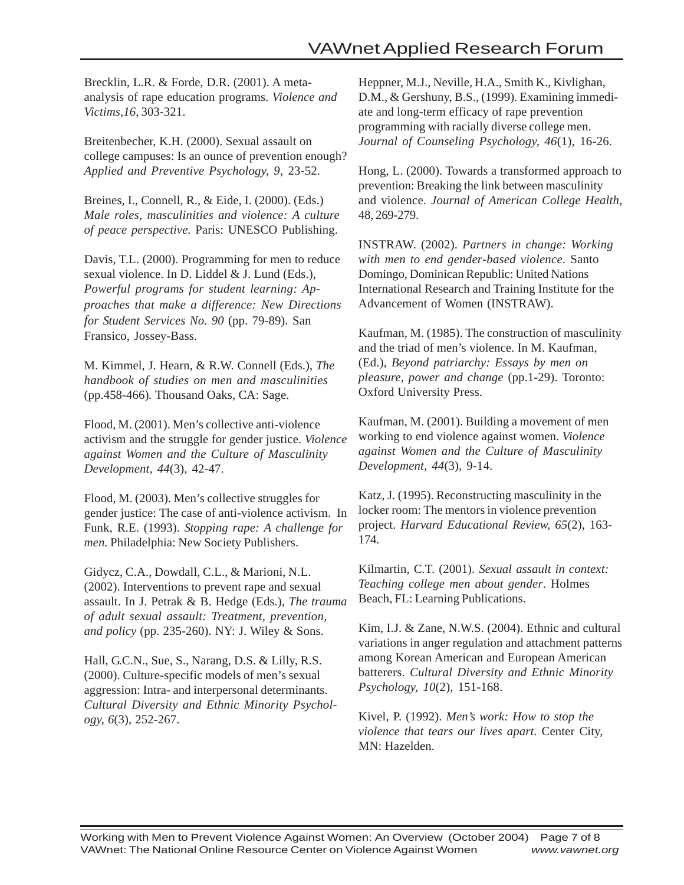Brecklin, L.R. & Forde, D.R. (2001). A metaanalysis of rape education programs. *Violence and Victims,16*, 303-321.

Breitenbecher, K.H. (2000). Sexual assault on college campuses: Is an ounce of prevention enough? *Applied and Preventive Psychology, 9*, 23-52.

Breines, I., Connell, R., & Eide, I. (2000). (Eds.) *Male roles, masculinities and violence: A culture of peace perspective.* Paris: UNESCO Publishing.

Davis, T.L. (2000). Programming for men to reduce sexual violence. In D. Liddel & J. Lund (Eds.), *Powerful programs for student learning: Approaches that make a difference: New Directions for Student Services No. 90* (pp. 79-89)*.* San Fransico, Jossey-Bass.

M. Kimmel, J. Hearn, & R.W. Connell (Eds.), *The handbook of studies on men and masculinities* (pp.458-466)*.* Thousand Oaks, CA: Sage.

Flood, M. (2001). Men's collective anti-violence activism and the struggle for gender justice. *Violence against Women and the Culture of Masculinity Development, 44*(3), 42-47.

Flood, M. (2003). Men's collective struggles for gender justice: The case of anti-violence activism. In Funk, R.E. (1993). *Stopping rape: A challenge for men.* Philadelphia: New Society Publishers.

Gidycz, C.A., Dowdall, C.L., & Marioni, N.L. (2002). Interventions to prevent rape and sexual assault. In J. Petrak & B. Hedge (Eds.), *The trauma of adult sexual assault: Treatment, prevention, and policy* (pp. 235-260). NY: J. Wiley & Sons.

Hall, G.C.N., Sue, S., Narang, D.S. & Lilly, R.S. (2000). Culture-specific models of men's sexual aggression: Intra- and interpersonal determinants. *Cultural Diversity and Ethnic Minority Psychology, 6*(3), 252-267.

Heppner, M.J., Neville, H.A., Smith K., Kivlighan, D.M., & Gershuny, B.S., (1999). Examining immediate and long-term efficacy of rape prevention programming with racially diverse college men. *Journal of Counseling Psychology, 46*(1), 16-26.

Hong, L. (2000). Towards a transformed approach to prevention: Breaking the link between masculinity and violence. *Journal of American College Health,* 48, 269-279.

INSTRAW. (2002). *Partners in change: Working with men to end gender-based violence*. Santo Domingo, Dominican Republic: United Nations International Research and Training Institute for the Advancement of Women (INSTRAW).

Kaufman, M. (1985). The construction of masculinity and the triad of men's violence. In M. Kaufman, (Ed.), *Beyond patriarchy: Essays by men on pleasure, power and change* (pp.1-29). Toronto: Oxford University Press.

Kaufman, M. (2001). Building a movement of men working to end violence against women. *Violence against Women and the Culture of Masculinity Development, 44*(3), 9-14.

Katz, J. (1995). Reconstructing masculinity in the locker room: The mentors in violence prevention project. *Harvard Educational Review, 65*(2), 163- 174.

Kilmartin, C.T. (2001). *Sexual assault in context: Teaching college men about gender*. Holmes Beach, FL: Learning Publications.

Kim, I.J. & Zane, N.W.S. (2004). Ethnic and cultural variations in anger regulation and attachment patterns among Korean American and European American batterers. *Cultural Diversity and Ethnic Minority Psychology, 10*(2), 151-168.

Kivel, P. (1992). *Men's work: How to stop the violence that tears our lives apart*. Center City, MN: Hazelden.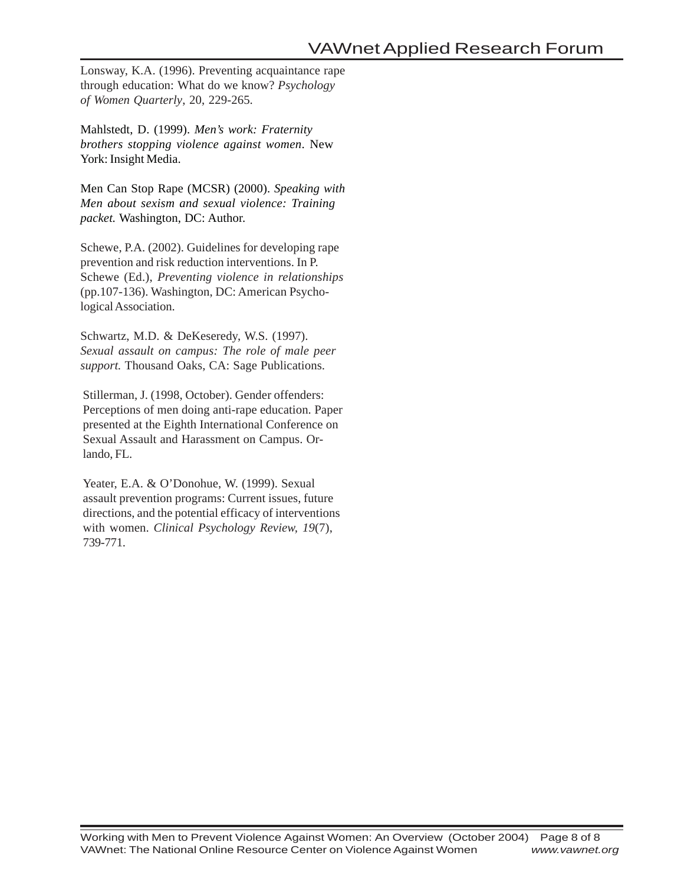Lonsway, K.A. (1996). Preventing acquaintance rape through education: What do we know? *Psychology of Women Quarterly*, 20, 229-265.

Mahlstedt, D. (1999). *Men's work: Fraternity brothers stopping violence against women*. New York: Insight Media.

Men Can Stop Rape (MCSR) (2000). *Speaking with Men about sexism and sexual violence: Training packet.* Washington, DC: Author.

Schewe, P.A. (2002). Guidelines for developing rape prevention and risk reduction interventions. In P. Schewe (Ed.), *Preventing violence in relationships* (pp.107-136). Washington, DC: American Psychological Association.

Schwartz, M.D. & DeKeseredy, W.S. (1997). *Sexual assault on campus: The role of male peer support.* Thousand Oaks, CA: Sage Publications.

Stillerman, J. (1998, October). Gender offenders: Perceptions of men doing anti-rape education. Paper presented at the Eighth International Conference on Sexual Assault and Harassment on Campus. Orlando, FL.

Yeater, E.A. & O'Donohue, W. (1999). Sexual assault prevention programs: Current issues, future directions, and the potential efficacy of interventions with women. *Clinical Psychology Review, 19*(7), 739-771.